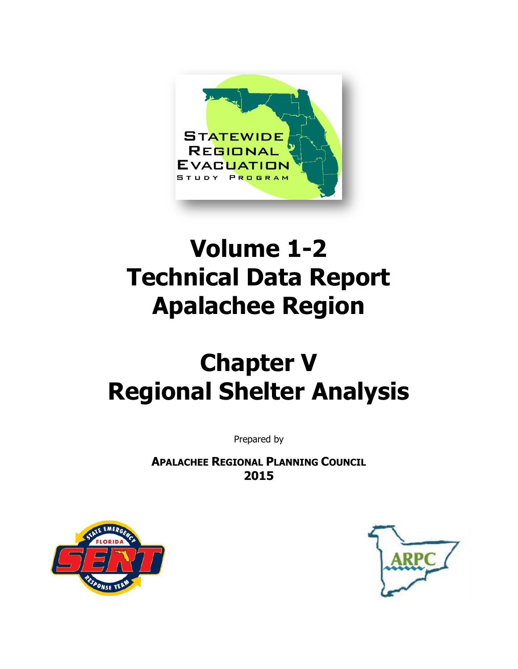

# **Volume 1-2 Technical Data Report Apalachee Region**

# **Chapter V Regional Shelter Analysis**

Prepared by

**APALACHEE REGIONAL PLANNING COUNCIL 2015**



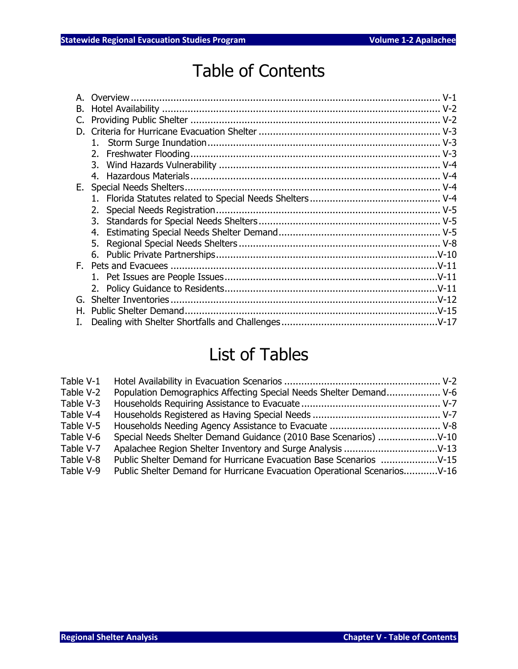### Table of Contents

| D.  |  |
|-----|--|
|     |  |
| 2.  |  |
| 3.  |  |
|     |  |
| Е.  |  |
|     |  |
|     |  |
| 3.  |  |
| 4.  |  |
| 5.  |  |
|     |  |
| F., |  |
|     |  |
|     |  |
|     |  |
|     |  |
|     |  |
|     |  |

### List of Tables

| Table V-1 |                                                                          |  |
|-----------|--------------------------------------------------------------------------|--|
| Table V-2 | Population Demographics Affecting Special Needs Shelter Demand V-6       |  |
| Table V-3 |                                                                          |  |
| Table V-4 |                                                                          |  |
| Table V-5 |                                                                          |  |
| Table V-6 |                                                                          |  |
| Table V-7 |                                                                          |  |
| Table V-8 |                                                                          |  |
| Table V-9 | Public Shelter Demand for Hurricane Evacuation Operational ScenariosV-16 |  |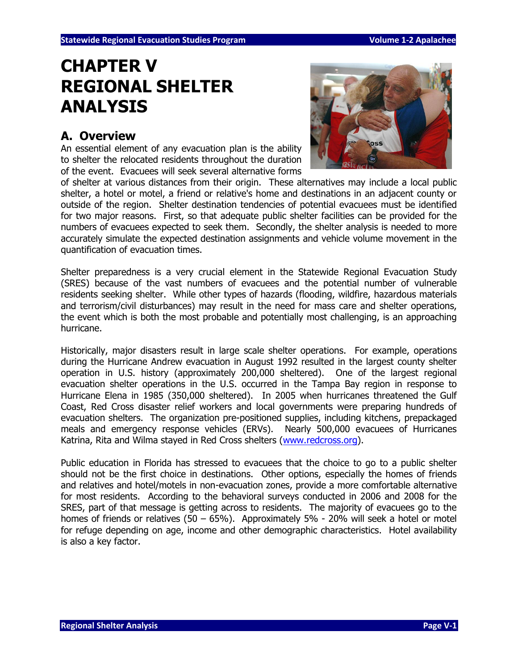### **CHAPTER V REGIONAL SHELTER ANALYSIS**

#### **A. Overview**

An essential element of any evacuation plan is the ability to shelter the relocated residents throughout the duration of the event. Evacuees will seek several alternative forms



of shelter at various distances from their origin. These alternatives may include a local public shelter, a hotel or motel, a friend or relative's home and destinations in an adjacent county or outside of the region. Shelter destination tendencies of potential evacuees must be identified for two major reasons. First, so that adequate public shelter facilities can be provided for the numbers of evacuees expected to seek them. Secondly, the shelter analysis is needed to more accurately simulate the expected destination assignments and vehicle volume movement in the quantification of evacuation times.

Shelter preparedness is a very crucial element in the Statewide Regional Evacuation Study (SRES) because of the vast numbers of evacuees and the potential number of vulnerable residents seeking shelter. While other types of hazards (flooding, wildfire, hazardous materials and terrorism/civil disturbances) may result in the need for mass care and shelter operations, the event which is both the most probable and potentially most challenging, is an approaching hurricane.

Historically, major disasters result in large scale shelter operations. For example, operations during the Hurricane Andrew evacuation in August 1992 resulted in the largest county shelter operation in U.S. history (approximately 200,000 sheltered). One of the largest regional evacuation shelter operations in the U.S. occurred in the Tampa Bay region in response to Hurricane Elena in 1985 (350,000 sheltered). In 2005 when hurricanes threatened the Gulf Coast, Red Cross disaster relief workers and local governments were preparing hundreds of evacuation shelters. The organization pre-positioned supplies, including kitchens, prepackaged meals and emergency response vehicles (ERVs). Nearly 500,000 evacuees of Hurricanes Katrina, Rita and Wilma stayed in Red Cross shelters [\(www.redcross.org\)](http://www.redcross.org/).

Public education in Florida has stressed to evacuees that the choice to go to a public shelter should not be the first choice in destinations. Other options, especially the homes of friends and relatives and hotel/motels in non-evacuation zones, provide a more comfortable alternative for most residents. According to the behavioral surveys conducted in 2006 and 2008 for the SRES, part of that message is getting across to residents. The majority of evacuees go to the homes of friends or relatives (50 – 65%). Approximately 5% - 20% will seek a hotel or motel for refuge depending on age, income and other demographic characteristics. Hotel availability is also a key factor.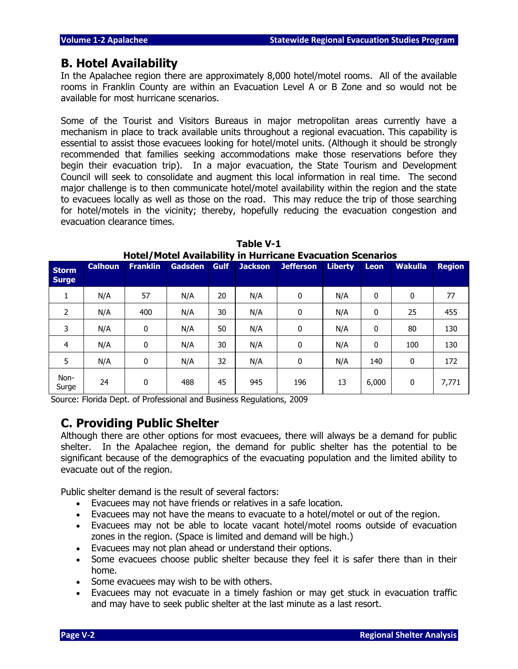#### **B. Hotel Availability**

In the Apalachee region there are approximately 8,000 hotel/motel rooms. All of the available rooms in Franklin County are within an Evacuation Level A or B Zone and so would not be available for most hurricane scenarios.

Some of the Tourist and Visitors Bureaus in major metropolitan areas currently have a mechanism in place to track available units throughout a regional evacuation. This capability is essential to assist those evacuees looking for hotel/motel units. (Although it should be strongly recommended that families seeking accommodations make those reservations before they begin their evacuation trip). In a major evacuation, the State Tourism and Development Council will seek to consolidate and augment this local information in real time. The second major challenge is to then communicate hotel/motel availability within the region and the state to evacuees locally as well as those on the road. This may reduce the trip of those searching for hotel/motels in the vicinity; thereby, hopefully reducing the evacuation congestion and evacuation clearance times.

| <b>Storm</b><br><b>Surge</b> | <b>Calhoun</b> | <b>Franklin</b> | <b>Gadsden</b> | <b>Gulf</b> | <b>Jackson</b> | <b>Jefferson</b> | <b>Liberty</b> | <b>Leon</b> | <b>Wakulla</b> | <b>Region</b> |
|------------------------------|----------------|-----------------|----------------|-------------|----------------|------------------|----------------|-------------|----------------|---------------|
| 1                            | N/A            | 57              | N/A            | 20          | N/A            | 0                | N/A            | 0           | 0              | 77            |
| 2                            | N/A            | 400             | N/A            | 30          | N/A            | 0                | N/A            | 0           | 25             | 455           |
| 3                            | N/A            | 0               | N/A            | 50          | N/A            | 0                | N/A            | 0           | 80             | 130           |
| 4                            | N/A            | 0               | N/A            | 30          | N/A            | 0                | N/A            | 0           | 100            | 130           |
| 5                            | N/A            | 0               | N/A            | 32          | N/A            | 0                | N/A            | 140         | 0              | 172           |
| Non-<br>Surge                | 24             | 0               | 488            | 45          | 945            | 196              | 13             | 6,000       | 0              | 7,771         |

**Table V-1 Hotel/Motel Availability in Hurricane Evacuation Scenarios** 

Source: Florida Dept. of Professional and Business Regulations, 2009

#### **C. Providing Public Shelter**

Although there are other options for most evacuees, there will always be a demand for public shelter. In the Apalachee region, the demand for public shelter has the potential to be significant because of the demographics of the evacuating population and the limited ability to evacuate out of the region.

Public shelter demand is the result of several factors:

- Evacuees may not have friends or relatives in a safe location.
- Evacuees may not have the means to evacuate to a hotel/motel or out of the region.
- Evacuees may not be able to locate vacant hotel/motel rooms outside of evacuation zones in the region. (Space is limited and demand will be high.)
- Evacuees may not plan ahead or understand their options.
- Some evacuees choose public shelter because they feel it is safer there than in their home.
- Some evacuees may wish to be with others.
- Evacuees may not evacuate in a timely fashion or may get stuck in evacuation traffic and may have to seek public shelter at the last minute as a last resort.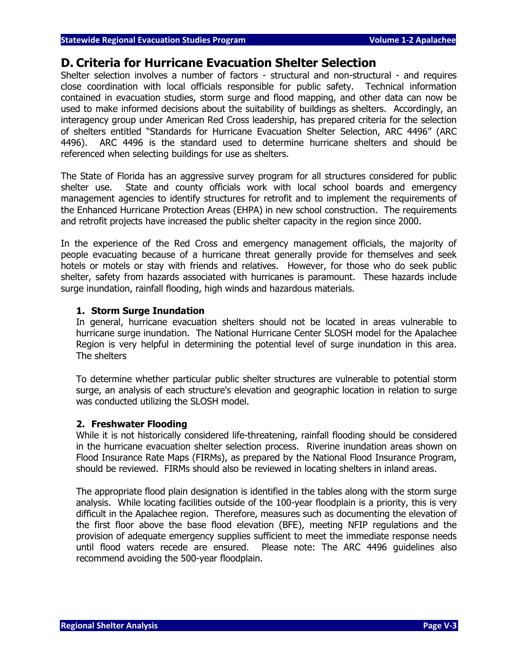#### **D. Criteria for Hurricane Evacuation Shelter Selection**

Shelter selection involves a number of factors - structural and non-structural - and requires close coordination with local officials responsible for public safety. Technical information contained in evacuation studies, storm surge and flood mapping, and other data can now be used to make informed decisions about the suitability of buildings as shelters. Accordingly, an interagency group under American Red Cross leadership, has prepared criteria for the selection of shelters entitled "Standards for Hurricane Evacuation Shelter Selection, ARC 4496" (ARC 4496). ARC 4496 is the standard used to determine hurricane shelters and should be referenced when selecting buildings for use as shelters.

The State of Florida has an aggressive survey program for all structures considered for public shelter use. State and county officials work with local school boards and emergency management agencies to identify structures for retrofit and to implement the requirements of the Enhanced Hurricane Protection Areas (EHPA) in new school construction. The requirements and retrofit projects have increased the public shelter capacity in the region since 2000.

In the experience of the Red Cross and emergency management officials, the majority of people evacuating because of a hurricane threat generally provide for themselves and seek hotels or motels or stay with friends and relatives. However, for those who do seek public shelter, safety from hazards associated with hurricanes is paramount. These hazards include surge inundation, rainfall flooding, high winds and hazardous materials.

#### **1. Storm Surge Inundation**

In general, hurricane evacuation shelters should not be located in areas vulnerable to hurricane surge inundation. The National Hurricane Center SLOSH model for the Apalachee Region is very helpful in determining the potential level of surge inundation in this area. The shelters

To determine whether particular public shelter structures are vulnerable to potential storm surge, an analysis of each structure's elevation and geographic location in relation to surge was conducted utilizing the SLOSH model.

#### **2. Freshwater Flooding**

While it is not historically considered life-threatening, rainfall flooding should be considered in the hurricane evacuation shelter selection process. Riverine inundation areas shown on Flood Insurance Rate Maps (FIRMs), as prepared by the National Flood Insurance Program, should be reviewed. FIRMs should also be reviewed in locating shelters in inland areas.

The appropriate flood plain designation is identified in the tables along with the storm surge analysis. While locating facilities outside of the 100-year floodplain is a priority, this is very difficult in the Apalachee region. Therefore, measures such as documenting the elevation of the first floor above the base flood elevation (BFE), meeting NFIP regulations and the provision of adequate emergency supplies sufficient to meet the immediate response needs until flood waters recede are ensured. Please note: The ARC 4496 guidelines also recommend avoiding the 500-year floodplain.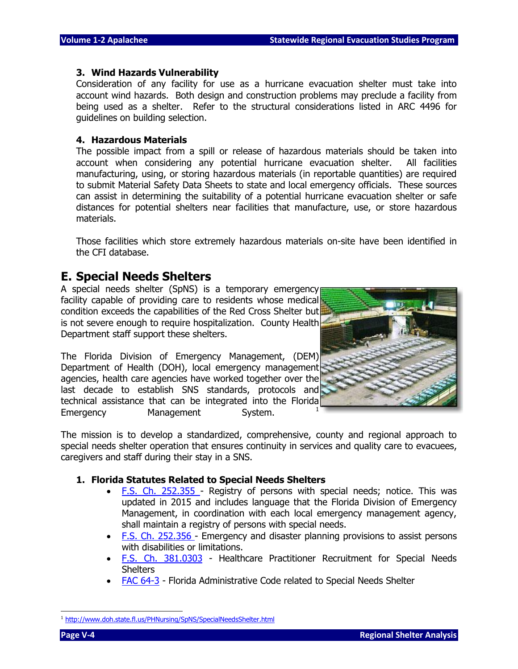#### **3. Wind Hazards Vulnerability**

Consideration of any facility for use as a hurricane evacuation shelter must take into account wind hazards. Both design and construction problems may preclude a facility from being used as a shelter. Refer to the structural considerations listed in ARC 4496 for guidelines on building selection.

#### **4. Hazardous Materials**

The possible impact from a spill or release of hazardous materials should be taken into account when considering any potential hurricane evacuation shelter. All facilities manufacturing, using, or storing hazardous materials (in reportable quantities) are required to submit Material Safety Data Sheets to state and local emergency officials. These sources can assist in determining the suitability of a potential hurricane evacuation shelter or safe distances for potential shelters near facilities that manufacture, use, or store hazardous materials.

Those facilities which store extremely hazardous materials on-site have been identified in the CFI database.

#### **E. Special Needs Shelters**

A special needs shelter (SpNS) is a temporary emergency facility capable of providing care to residents whose medical condition exceeds the capabilities of the Red Cross Shelter but is not severe enough to require hospitalization. County Health Department staff support these shelters.

The Florida Division of Emergency Management, (DEM) Department of Health (DOH), local emergency management agencies, health care agencies have worked together over the last decade to establish SNS standards, protocols and technical assistance that can be integrated into the Florida Emergency Management System.



The mission is to develop a standardized, comprehensive, county and regional approach to special needs shelter operation that ensures continuity in services and quality care to evacuees, caregivers and staff during their stay in a SNS.

#### **1. Florida Statutes Related to Special Needs Shelters**

- [F.S. Ch. 252.355 -](http://www.flsenate.gov/Statutes/index.cfm?mode=View%20Statutes&SubMenu=1&App_mode=Display_Statute&Search_String=252.355&URL=CH0252/Sec355.HTM) Registry of persons with special needs; notice. This was updated in 2015 and includes language that the Florida Division of Emergency Management, in coordination with each local emergency management agency, shall maintain a registry of persons with special needs.
- [F.S. Ch. 252.356 -](http://www.flsenate.gov/Statutes/index.cfm?mode=View%20Statutes&SubMenu=1&App_mode=Display_Statute&Search_String=252.356&URL=CH0252/Sec356.HTM) Emergency and disaster planning provisions to assist persons with disabilities or limitations.
- [F.S. Ch. 381.0303](http://www.flsenate.gov/Statutes/index.cfm?mode=View%20Statutes&SubMenu=1&App_mode=Display_Statute&Search_String=381.0303&URL=CH0381/Sec0303.HTM) Healthcare Practitioner Recruitment for Special Needs **Shelters**
- [FAC 64-3](https://www.flrules.org/gateway/chapterhome.asp?chapter=64-3) Florida Administrative Code related to Special Needs Shelter

<sup>&</sup>lt;sup>1</sup> <http://www.doh.state.fl.us/PHNursing/SpNS/SpecialNeedsShelter.html>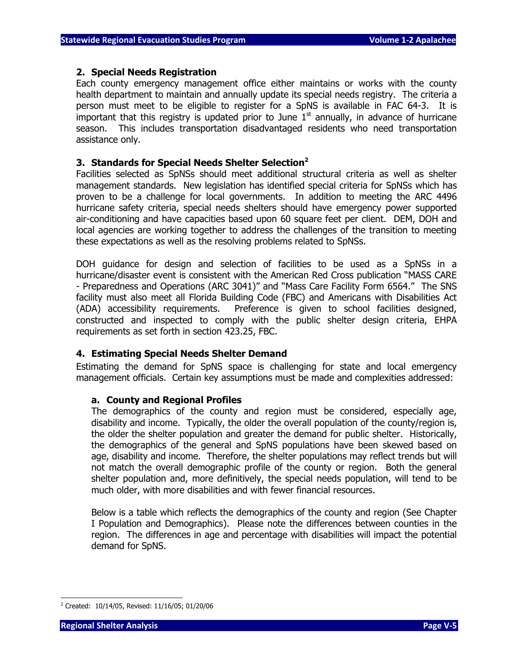#### **2. Special Needs Registration**

Each county emergency management office either maintains or works with the county health department to maintain and annually update its special needs registry. The criteria a person must meet to be eligible to register for a SpNS is available in FAC 64-3. It is important that this registry is updated prior to June  $1<sup>st</sup>$  annually, in advance of hurricane season. This includes transportation disadvantaged residents who need transportation assistance only.

#### **3. Standards for Special Needs Shelter Selection<sup>2</sup>**

Facilities selected as SpNSs should meet additional structural criteria as well as shelter management standards. New legislation has identified special criteria for SpNSs which has proven to be a challenge for local governments. In addition to meeting the ARC 4496 hurricane safety criteria, special needs shelters should have emergency power supported air-conditioning and have capacities based upon 60 square feet per client. DEM, DOH and local agencies are working together to address the challenges of the transition to meeting these expectations as well as the resolving problems related to SpNSs.

DOH guidance for design and selection of facilities to be used as a SpNSs in a hurricane/disaster event is consistent with the American Red Cross publication "MASS CARE - Preparedness and Operations (ARC 3041)" and "Mass Care Facility Form 6564." The SNS facility must also meet all Florida Building Code (FBC) and Americans with Disabilities Act (ADA) accessibility requirements. Preference is given to school facilities designed, constructed and inspected to comply with the public shelter design criteria, EHPA requirements as set forth in section 423.25, FBC.

#### **4. Estimating Special Needs Shelter Demand**

Estimating the demand for SpNS space is challenging for state and local emergency management officials. Certain key assumptions must be made and complexities addressed:

#### **a. County and Regional Profiles**

The demographics of the county and region must be considered, especially age, disability and income. Typically, the older the overall population of the county/region is, the older the shelter population and greater the demand for public shelter. Historically, the demographics of the general and SpNS populations have been skewed based on age, disability and income. Therefore, the shelter populations may reflect trends but will not match the overall demographic profile of the county or region. Both the general shelter population and, more definitively, the special needs population, will tend to be much older, with more disabilities and with fewer financial resources.

Below is a table which reflects the demographics of the county and region (See Chapter I Population and Demographics). Please note the differences between counties in the region. The differences in age and percentage with disabilities will impact the potential demand for SpNS.

<sup>2</sup> Created: 10/14/05, Revised: 11/16/05; 01/20/06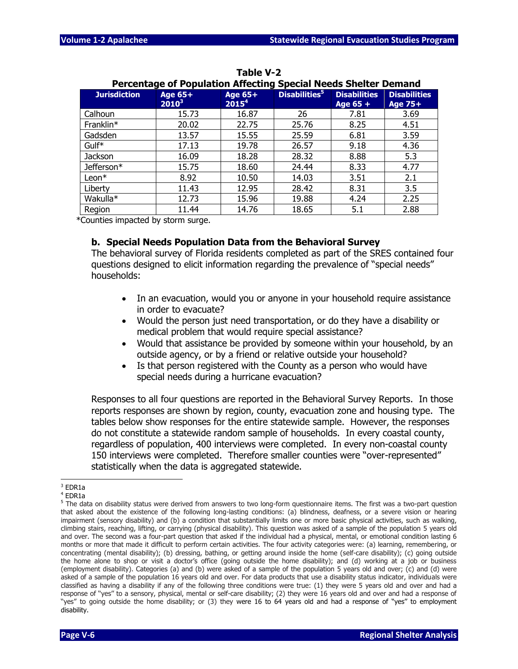|                     | <b>Percentage of Population Affecting Special Needs Shelter Demand</b> |                                     |                           |                                   |                                       |
|---------------------|------------------------------------------------------------------------|-------------------------------------|---------------------------|-----------------------------------|---------------------------------------|
| <b>Jurisdiction</b> | <b>Age 65+</b><br>$2010^3$                                             | <b>Age 65+</b><br>2015 <sup>4</sup> | Disabilities <sup>5</sup> | <b>Disabilities</b><br>Age $65 +$ | <b>Disabilities</b><br><b>Age 75+</b> |
| Calhoun             | 15.73                                                                  | 16.87                               | 26                        | 7.81                              | 3.69                                  |
| Franklin*           | 20.02                                                                  | 22.75                               | 25.76                     | 8.25                              | 4.51                                  |
| Gadsden             | 13.57                                                                  | 15.55                               | 25.59                     | 6.81                              | 3.59                                  |
| Gulf <sup>*</sup>   | 17.13                                                                  | 19.78                               | 26.57                     | 9.18                              | 4.36                                  |
| Jackson             | 16.09                                                                  | 18.28                               | 28.32                     | 8.88                              | 5.3                                   |
| Jefferson*          | 15.75                                                                  | 18.60                               | 24.44                     | 8.33                              | 4.77                                  |
| $Leon*$             | 8.92                                                                   | 10.50                               | 14.03                     | 3.51                              | 2.1                                   |
| Liberty             | 11.43                                                                  | 12.95                               | 28.42                     | 8.31                              | 3.5                                   |
| Wakulla*            | 12.73                                                                  | 15.96                               | 19.88                     | 4.24                              | 2.25                                  |
| Region              | 11.44                                                                  | 14.76                               | 18.65                     | 5.1                               | 2.88                                  |

**Table V-2**

\*Counties impacted by storm surge.

#### **b. Special Needs Population Data from the Behavioral Survey**

The behavioral survey of Florida residents completed as part of the SRES contained four questions designed to elicit information regarding the prevalence of "special needs" households:

- In an evacuation, would you or anyone in your household require assistance in order to evacuate?
- Would the person just need transportation, or do they have a disability or medical problem that would require special assistance?
- Would that assistance be provided by someone within your household, by an outside agency, or by a friend or relative outside your household?
- Is that person registered with the County as a person who would have special needs during a hurricane evacuation?

Responses to all four questions are reported in the Behavioral Survey Reports. In those reports responses are shown by region, county, evacuation zone and housing type. The tables below show responses for the entire statewide sample. However, the responses do not constitute a statewide random sample of households. In every coastal county, regardless of population, 400 interviews were completed. In every non-coastal county 150 interviews were completed. Therefore smaller counties were "over-represented" statistically when the data is aggregated statewide.

j.

 $3$  EDR1a

<sup>4</sup> EDR1a

 $5$  The data on disability status were derived from answers to two long-form questionnaire items. The first was a two-part question that asked about the existence of the following long-lasting conditions: (a) blindness, deafness, or a severe vision or hearing impairment (sensory disability) and (b) a condition that substantially limits one or more basic physical activities, such as walking, climbing stairs, reaching, lifting, or carrying (physical disability). This question was asked of a sample of the population 5 years old and over. The second was a four-part question that asked if the individual had a physical, mental, or emotional condition lasting 6 months or more that made it difficult to perform certain activities. The four activity categories were: (a) learning, remembering, or concentrating (mental disability); (b) dressing, bathing, or getting around inside the home (self-care disability); (c) going outside the home alone to shop or visit a doctor's office (going outside the home disability); and (d) working at a job or business (employment disability). Categories (a) and (b) were asked of a sample of the population 5 years old and over; (c) and (d) were asked of a sample of the population 16 years old and over. For data products that use a disability status indicator, individuals were classified as having a disability if any of the following three conditions were true: (1) they were 5 years old and over and had a response of ''yes'' to a sensory, physical, mental or self-care disability; (2) they were 16 years old and over and had a response of ''yes'' to going outside the home disability; or (3) they were 16 to 64 years old and had a response of ''yes'' to employment disability.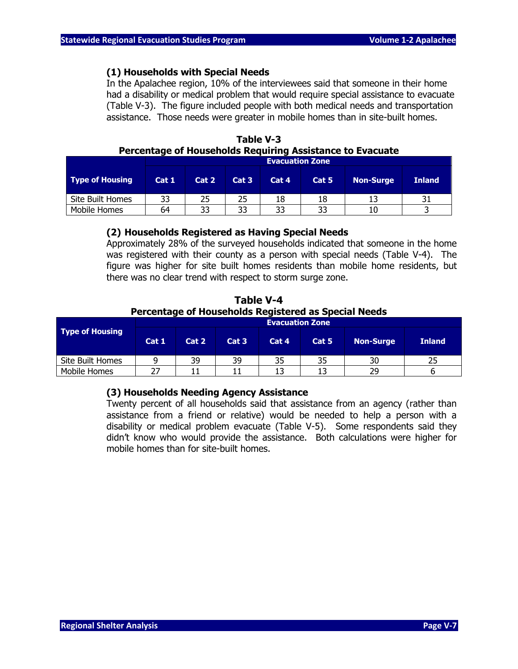#### **(1) Households with Special Needs**

In the Apalachee region, 10% of the interviewees said that someone in their home had a disability or medical problem that would require special assistance to evacuate (Table V-3). The figure included people with both medical needs and transportation assistance. Those needs were greater in mobile homes than in site-built homes.

|                  | <b>Evacuation Zone</b> |       |      |       |       |                  |               |  |  |  |
|------------------|------------------------|-------|------|-------|-------|------------------|---------------|--|--|--|
| Type of Housing  | Cat 1                  | Cat 2 | Cat3 | Cat 4 | Cat 5 | <b>Non-Surge</b> | <b>Inland</b> |  |  |  |
| Site Built Homes | 33                     |       | 25   | 18    | 18    |                  |               |  |  |  |
| Mobile Homes     | 64                     | 33    | 33   | 33    | 33    |                  |               |  |  |  |

**Table V-3 Percentage of Households Requiring Assistance to Evacuate**

#### **(2) Households Registered as Having Special Needs**

Approximately 28% of the surveyed households indicated that someone in the home was registered with their county as a person with special needs (Table V-4). The figure was higher for site built homes residents than mobile home residents, but there was no clear trend with respect to storm surge zone.

**Table V-4 Percentage of Households Registered as Special Needs**

|                        | <b>Evacuation Zone</b> |       |       |       |       |                  |               |  |  |  |  |
|------------------------|------------------------|-------|-------|-------|-------|------------------|---------------|--|--|--|--|
| <b>Type of Housing</b> | Cat 1                  | Cat 2 | Cat 3 | Cat 4 | Cat 5 | <b>Non-Surge</b> | <b>Inland</b> |  |  |  |  |
| Site Built Homes       |                        | 39    | 39    | 35    | 35    | 30               |               |  |  |  |  |
| Mobile Homes           | つフ                     |       |       |       |       | 29               |               |  |  |  |  |

#### **(3) Households Needing Agency Assistance**

Twenty percent of all households said that assistance from an agency (rather than assistance from a friend or relative) would be needed to help a person with a disability or medical problem evacuate (Table V-5). Some respondents said they didn't know who would provide the assistance. Both calculations were higher for mobile homes than for site-built homes.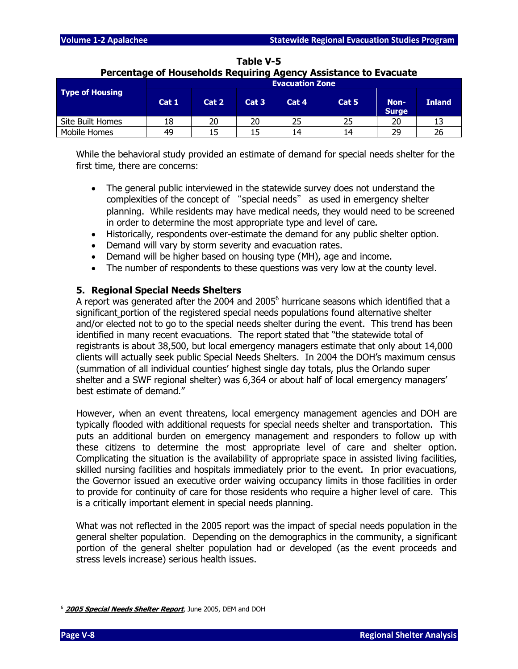|                        |       |       |                  |                        | Percentage of Households Requiring Agency Assistance to Evacuate |                      |               |
|------------------------|-------|-------|------------------|------------------------|------------------------------------------------------------------|----------------------|---------------|
|                        |       |       |                  | <b>Evacuation Zone</b> |                                                                  |                      |               |
| <b>Type of Housing</b> |       |       |                  |                        |                                                                  |                      |               |
|                        | Cat 1 | Cat 2 | Cat <sub>3</sub> | Cat 4                  | Cat 5                                                            | Non-<br><b>Surge</b> | <b>Inland</b> |
| Site Built Homes       | 18    | 20    | 20               | 25                     | 25                                                               | 20                   | 13            |
| Mobile Homes           | 49    |       | 15               | 14                     | 14                                                               | 29                   | 26            |

## **Table V-5**

While the behavioral study provided an estimate of demand for special needs shelter for the first time, there are concerns:

- The general public interviewed in the statewide survey does not understand the complexities of the concept of "special needs" as used in emergency shelter planning. While residents may have medical needs, they would need to be screened in order to determine the most appropriate type and level of care.
- Historically, respondents over-estimate the demand for any public shelter option.
- Demand will vary by storm severity and evacuation rates.
- Demand will be higher based on housing type (MH), age and income.
- The number of respondents to these questions was very low at the county level.

#### **5. Regional Special Needs Shelters**

A report was generated after the 2004 and 2005<sup>6</sup> hurricane seasons which identified that a significant portion of the registered special needs populations found alternative shelter and/or elected not to go to the special needs shelter during the event. This trend has been identified in many recent evacuations. The report stated that "the statewide total of registrants is about 38,500, but local emergency managers estimate that only about 14,000 clients will actually seek public Special Needs Shelters. In 2004 the DOH's maximum census (summation of all individual counties' highest single day totals, plus the Orlando super shelter and a SWF regional shelter) was 6,364 or about half of local emergency managers' best estimate of demand."

However, when an event threatens, local emergency management agencies and DOH are typically flooded with additional requests for special needs shelter and transportation. This puts an additional burden on emergency management and responders to follow up with these citizens to determine the most appropriate level of care and shelter option. Complicating the situation is the availability of appropriate space in assisted living facilities, skilled nursing facilities and hospitals immediately prior to the event. In prior evacuations, the Governor issued an executive order waiving occupancy limits in those facilities in order to provide for continuity of care for those residents who require a higher level of care. This is a critically important element in special needs planning.

What was not reflected in the 2005 report was the impact of special needs population in the general shelter population. Depending on the demographics in the community, a significant portion of the general shelter population had or developed (as the event proceeds and stress levels increase) serious health issues.

<sup>2005</sup> Special Needs Shelter Report, June 2005, DEM and DOH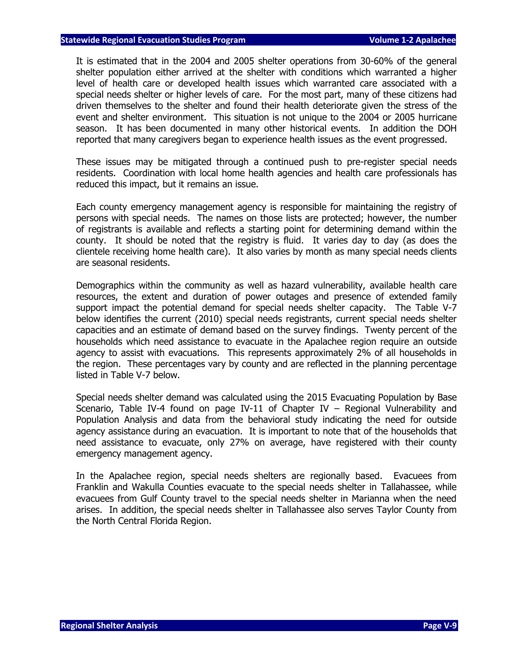It is estimated that in the 2004 and 2005 shelter operations from 30-60% of the general shelter population either arrived at the shelter with conditions which warranted a higher level of health care or developed health issues which warranted care associated with a special needs shelter or higher levels of care. For the most part, many of these citizens had driven themselves to the shelter and found their health deteriorate given the stress of the event and shelter environment. This situation is not unique to the 2004 or 2005 hurricane season. It has been documented in many other historical events. In addition the DOH reported that many caregivers began to experience health issues as the event progressed.

These issues may be mitigated through a continued push to pre-register special needs residents. Coordination with local home health agencies and health care professionals has reduced this impact, but it remains an issue.

Each county emergency management agency is responsible for maintaining the registry of persons with special needs. The names on those lists are protected; however, the number of registrants is available and reflects a starting point for determining demand within the county. It should be noted that the registry is fluid. It varies day to day (as does the clientele receiving home health care). It also varies by month as many special needs clients are seasonal residents.

Demographics within the community as well as hazard vulnerability, available health care resources, the extent and duration of power outages and presence of extended family support impact the potential demand for special needs shelter capacity. The Table V-7 below identifies the current (2010) special needs registrants, current special needs shelter capacities and an estimate of demand based on the survey findings. Twenty percent of the households which need assistance to evacuate in the Apalachee region require an outside agency to assist with evacuations. This represents approximately 2% of all households in the region. These percentages vary by county and are reflected in the planning percentage listed in Table V-7 below.

Special needs shelter demand was calculated using the 2015 Evacuating Population by Base Scenario, Table IV-4 found on page IV-11 of Chapter IV – Regional Vulnerability and Population Analysis and data from the behavioral study indicating the need for outside agency assistance during an evacuation. It is important to note that of the households that need assistance to evacuate, only 27% on average, have registered with their county emergency management agency.

In the Apalachee region, special needs shelters are regionally based. Evacuees from Franklin and Wakulla Counties evacuate to the special needs shelter in Tallahassee, while evacuees from Gulf County travel to the special needs shelter in Marianna when the need arises. In addition, the special needs shelter in Tallahassee also serves Taylor County from the North Central Florida Region.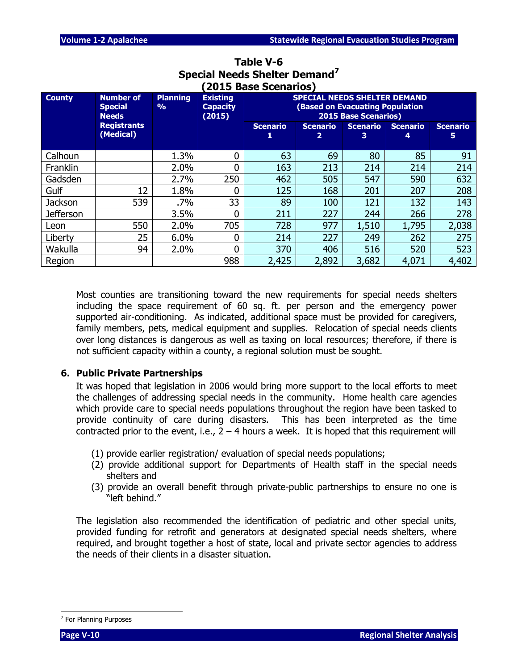|                  |                                                    |                                  |                                              | (2015 Base Scenarios)                                                                                        |                      |                      |                      |                       |  |  |
|------------------|----------------------------------------------------|----------------------------------|----------------------------------------------|--------------------------------------------------------------------------------------------------------------|----------------------|----------------------|----------------------|-----------------------|--|--|
| <b>County</b>    | <b>Number of</b><br><b>Special</b><br><b>Needs</b> | <b>Planning</b><br>$\frac{9}{0}$ | <b>Existing</b><br><b>Capacity</b><br>(2015) | <b>SPECIAL NEEDS SHELTER DEMAND</b><br><b>(Based on Evacuating Population</b><br><b>2015 Base Scenarios)</b> |                      |                      |                      |                       |  |  |
|                  | <b>Registrants</b><br>(Medical)                    |                                  |                                              | <b>Scenario</b>                                                                                              | <b>Scenario</b><br>2 | <b>Scenario</b><br>3 | <b>Scenario</b><br>4 | <b>Scenario</b><br>5. |  |  |
| Calhoun          |                                                    | 1.3%                             | 0                                            | 63                                                                                                           | 69                   | 80                   | 85                   | 91                    |  |  |
| <b>Franklin</b>  |                                                    | 2.0%                             | 0                                            | 163                                                                                                          | 213                  | 214                  | 214                  | 214                   |  |  |
| Gadsden          |                                                    | 2.7%                             | 250                                          | 462                                                                                                          | 505                  | 547                  | 590                  | 632                   |  |  |
| Gulf             | 12                                                 | 1.8%                             | 0                                            | 125                                                                                                          | 168                  | 201                  | 207                  | 208                   |  |  |
| Jackson          | 539                                                | .7%                              | 33                                           | 89                                                                                                           | 100                  | 121                  | 132                  | 143                   |  |  |
| <b>Jefferson</b> |                                                    | 3.5%                             | 0                                            | 211                                                                                                          | 227                  | 244                  | 266                  | 278                   |  |  |
| Leon             | 550                                                | 2.0%                             | 705                                          | 728                                                                                                          | 977                  | 1,510                | 1,795                | 2,038                 |  |  |
| Liberty          | 25                                                 | 6.0%                             | 0                                            | 214                                                                                                          | 227                  | 249                  | 262                  | 275                   |  |  |
| Wakulla          | 94                                                 | 2.0%                             | 0                                            | 370                                                                                                          | 406                  | 516                  | 520                  | 523                   |  |  |
| Region           |                                                    |                                  | 988                                          | 2,425                                                                                                        | 2,892                | 3,682                | 4,071                | 4,402                 |  |  |

### **Table V-6 Special Needs Shelter Demand<sup>7</sup>**

Most counties are transitioning toward the new requirements for special needs shelters including the space requirement of 60 sq. ft. per person and the emergency power supported air-conditioning. As indicated, additional space must be provided for caregivers, family members, pets, medical equipment and supplies. Relocation of special needs clients over long distances is dangerous as well as taxing on local resources; therefore, if there is not sufficient capacity within a county, a regional solution must be sought.

#### **6. Public Private Partnerships**

It was hoped that legislation in 2006 would bring more support to the local efforts to meet the challenges of addressing special needs in the community. Home health care agencies which provide care to special needs populations throughout the region have been tasked to provide continuity of care during disasters. This has been interpreted as the time contracted prior to the event, i.e.,  $2 - 4$  hours a week. It is hoped that this requirement will

- (1) provide earlier registration/ evaluation of special needs populations;
- (2) provide additional support for Departments of Health staff in the special needs shelters and
- (3) provide an overall benefit through private-public partnerships to ensure no one is "left behind."

The legislation also recommended the identification of pediatric and other special units, provided funding for retrofit and generators at designated special needs shelters, where required, and brought together a host of state, local and private sector agencies to address the needs of their clients in a disaster situation.

<sup>&</sup>lt;sup>7</sup> For Planning Purposes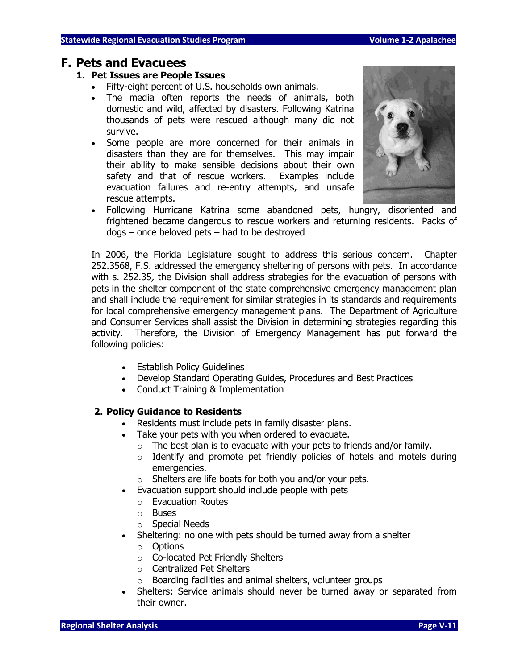#### **F. Pets and Evacuees**

#### **1. Pet Issues are People Issues**

- Fifty-eight percent of U.S. households own animals.
- The media often reports the needs of animals, both domestic and wild, affected by disasters. Following Katrina thousands of pets were rescued although many did not survive.
- Some people are more concerned for their animals in disasters than they are for themselves. This may impair their ability to make sensible decisions about their own safety and that of rescue workers. Examples include evacuation failures and re-entry attempts, and unsafe rescue attempts.
- Following Hurricane Katrina some abandoned pets, hungry, disoriented and frightened became dangerous to rescue workers and returning residents. Packs of dogs – once beloved pets – had to be destroyed

In 2006, the Florida Legislature sought to address this serious concern. Chapter 252.3568, F.S. addressed the emergency sheltering of persons with pets. In accordance with s. 252.35, the Division shall address strategies for the evacuation of persons with pets in the shelter component of the state comprehensive emergency management plan and shall include the requirement for similar strategies in its standards and requirements for local comprehensive emergency management plans. The Department of Agriculture and Consumer Services shall assist the Division in determining strategies regarding this activity. Therefore, the Division of Emergency Management has put forward the following policies:

- Establish Policy Guidelines
- Develop Standard Operating Guides, Procedures and Best Practices
- Conduct Training & Implementation

#### **2. Policy Guidance to Residents**

- Residents must include pets in family disaster plans.
- Take your pets with you when ordered to evacuate.
	- $\circ$  The best plan is to evacuate with your pets to friends and/or family.
	- $\circ$  Identify and promote pet friendly policies of hotels and motels during emergencies.
	- o Shelters are life boats for both you and/or your pets.
- Evacuation support should include people with pets
	- o Evacuation Routes
	- o Buses
	- o Special Needs
- Sheltering: no one with pets should be turned away from a shelter
	- o Options
	- o Co-located Pet Friendly Shelters
	- o Centralized Pet Shelters
	- o Boarding facilities and animal shelters, volunteer groups
- Shelters: Service animals should never be turned away or separated from their owner.

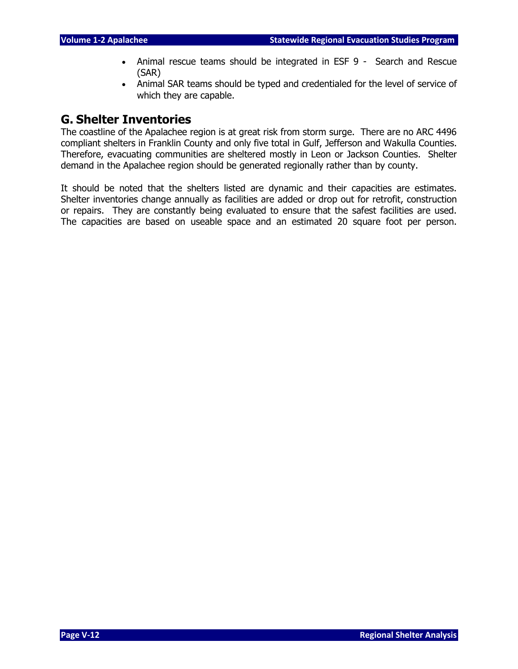- Animal rescue teams should be integrated in ESF 9 Search and Rescue (SAR)
- Animal SAR teams should be typed and credentialed for the level of service of which they are capable.

### **G. Shelter Inventories**

The coastline of the Apalachee region is at great risk from storm surge. There are no ARC 4496 compliant shelters in Franklin County and only five total in Gulf, Jefferson and Wakulla Counties. Therefore, evacuating communities are sheltered mostly in Leon or Jackson Counties. Shelter demand in the Apalachee region should be generated regionally rather than by county.

It should be noted that the shelters listed are dynamic and their capacities are estimates. Shelter inventories change annually as facilities are added or drop out for retrofit, construction or repairs. They are constantly being evaluated to ensure that the safest facilities are used. The capacities are based on useable space and an estimated 20 square foot per person.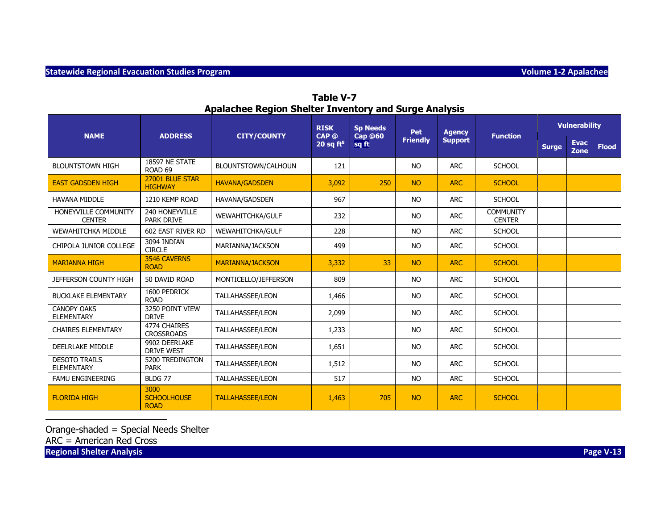|                                           |                                           |                         | <b>RISK</b>                      | <b>Sp Needs</b>         | Pet             | <b>Agency</b>  |                                   |              | <b>Vulnerability</b> |              |
|-------------------------------------------|-------------------------------------------|-------------------------|----------------------------------|-------------------------|-----------------|----------------|-----------------------------------|--------------|----------------------|--------------|
| <b>NAME</b>                               | <b>ADDRESS</b>                            | <b>CITY/COUNTY</b>      | CAP <sub>®</sub><br>20 sq $ft^8$ | <b>Cap @60</b><br>sq ft | <b>Friendly</b> | <b>Support</b> | <b>Function</b>                   | <b>Surge</b> | <b>Evac</b><br>Zone  | <b>Flood</b> |
| <b>BLOUNTSTOWN HIGH</b>                   | 18597 NE STATE<br>ROAD <sub>69</sub>      | BLOUNTSTOWN/CALHOUN     | 121                              |                         | <b>NO</b>       | <b>ARC</b>     | <b>SCHOOL</b>                     |              |                      |              |
| <b>EAST GADSDEN HIGH</b>                  | 27001 BLUE STAR<br><b>HIGHWAY</b>         | <b>HAVANA/GADSDEN</b>   | 3,092                            | 250                     | <b>NO</b>       | <b>ARC</b>     | <b>SCHOOL</b>                     |              |                      |              |
| <b>HAVANA MIDDLE</b>                      | 1210 KEMP ROAD                            | HAVANA/GADSDEN          | 967                              |                         | <b>NO</b>       | <b>ARC</b>     | <b>SCHOOL</b>                     |              |                      |              |
| HONEYVILLE COMMUNITY<br><b>CENTER</b>     | 240 HONEYVILLE<br><b>PARK DRIVE</b>       | WEWAHITCHKA/GULF        | 232                              |                         | <b>NO</b>       | <b>ARC</b>     | <b>COMMUNITY</b><br><b>CENTER</b> |              |                      |              |
| <b>WEWAHITCHKA MIDDLE</b>                 | 602 EAST RIVER RD                         | WEWAHITCHKA/GULF        | 228                              |                         | <b>NO</b>       | <b>ARC</b>     | <b>SCHOOL</b>                     |              |                      |              |
| CHIPOLA JUNIOR COLLEGE                    | 3094 INDIAN<br><b>CIRCLE</b>              | MARIANNA/JACKSON        | 499                              |                         | <b>NO</b>       | <b>ARC</b>     | <b>SCHOOL</b>                     |              |                      |              |
| <b>MARIANNA HIGH</b>                      | 3546 CAVERNS<br><b>ROAD</b>               | <b>MARIANNA/JACKSON</b> | 3,332                            | 33                      | <b>NO</b>       | <b>ARC</b>     | <b>SCHOOL</b>                     |              |                      |              |
| <b>JEFFERSON COUNTY HIGH</b>              | 50 DAVID ROAD                             | MONTICELLO/JEFFERSON    | 809                              |                         | <b>NO</b>       | <b>ARC</b>     | <b>SCHOOL</b>                     |              |                      |              |
| <b>BUCKLAKE ELEMENTARY</b>                | 1600 PEDRICK<br><b>ROAD</b>               | <b>TALLAHASSEE/LEON</b> | 1,466                            |                         | <b>NO</b>       | <b>ARC</b>     | <b>SCHOOL</b>                     |              |                      |              |
| <b>CANOPY OAKS</b><br><b>ELEMENTARY</b>   | 3250 POINT VIEW<br><b>DRIVE</b>           | <b>TALLAHASSEE/LEON</b> | 2,099                            |                         | <b>NO</b>       | <b>ARC</b>     | <b>SCHOOL</b>                     |              |                      |              |
| <b>CHAIRES ELEMENTARY</b>                 | 4774 CHAIRES<br><b>CROSSROADS</b>         | <b>TALLAHASSEE/LEON</b> | 1,233                            |                         | <b>NO</b>       | <b>ARC</b>     | <b>SCHOOL</b>                     |              |                      |              |
| <b>DEELRLAKE MIDDLE</b>                   | 9902 DEERLAKE<br><b>DRIVE WEST</b>        | <b>TALLAHASSEE/LEON</b> | 1,651                            |                         | <b>NO</b>       | <b>ARC</b>     | <b>SCHOOL</b>                     |              |                      |              |
| <b>DESOTO TRAILS</b><br><b>ELEMENTARY</b> | 5200 TREDINGTON<br><b>PARK</b>            | <b>TALLAHASSEE/LEON</b> | 1,512                            |                         | <b>NO</b>       | <b>ARC</b>     | <b>SCHOOL</b>                     |              |                      |              |
| <b>FAMU ENGINEERING</b>                   | BLDG 77                                   | <b>TALLAHASSEE/LEON</b> | 517                              |                         | <b>NO</b>       | <b>ARC</b>     | <b>SCHOOL</b>                     |              |                      |              |
| <b>FLORIDA HIGH</b>                       | 3000<br><b>SCHOOLHOUSE</b><br><b>ROAD</b> | <b>TALLAHASSEE/LEON</b> | 1,463                            | 705                     | <b>NO</b>       | <b>ARC</b>     | <b>SCHOOL</b>                     |              |                      |              |

**Table V-7 Apalachee Region Shelter Inventory and Surge Analysis**

Orange-shaded = Special Needs Shelter

ARC = American Red Cross

**Regional Shelter Analysis Page V-13** 

j.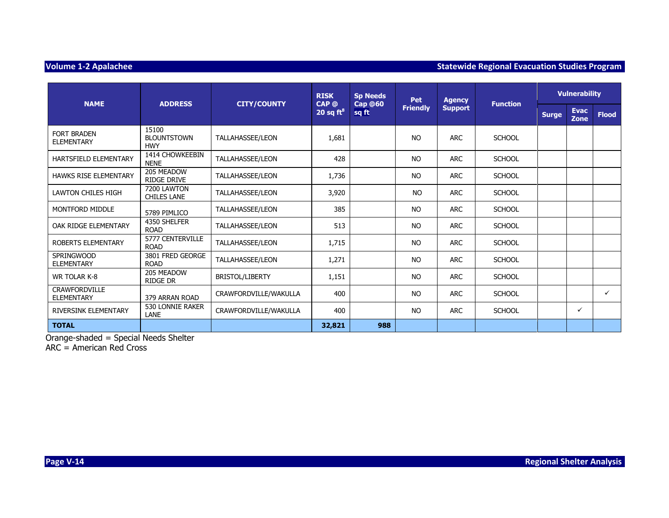#### **Volume 1-2 Apalachee Statewide Regional Evacuation Studies Program and Statewide Regional Evacuation Studies Program**

|                                         |                                           |                         | <b>RISK</b>           | <b>Sp Needs</b>         | <b>Pet</b>      | <b>Agency</b>  |                 | <b>Vulnerability</b> |                     |              |
|-----------------------------------------|-------------------------------------------|-------------------------|-----------------------|-------------------------|-----------------|----------------|-----------------|----------------------|---------------------|--------------|
| <b>NAME</b>                             | <b>ADDRESS</b>                            | <b>CITY/COUNTY</b>      | CAP @<br>20 sq $ft^8$ | <b>Cap @60</b><br>sq ft | <b>Friendly</b> | <b>Support</b> | <b>Function</b> | <b>Surge</b>         | <b>Evac</b><br>Zone | <b>Flood</b> |
| <b>FORT BRADEN</b><br><b>ELEMENTARY</b> | 15100<br><b>BLOUNTSTOWN</b><br><b>HWY</b> | <b>TALLAHASSEE/LEON</b> | 1,681                 |                         | <b>NO</b>       | <b>ARC</b>     | <b>SCHOOL</b>   |                      |                     |              |
| HARTSFIELD ELEMENTARY                   | 1414 CHOWKEEBIN<br><b>NENE</b>            | TALLAHASSEE/LEON        | 428                   |                         | <b>NO</b>       | <b>ARC</b>     | <b>SCHOOL</b>   |                      |                     |              |
| <b>HAWKS RISE ELEMENTARY</b>            | 205 MEADOW<br><b>RIDGE DRIVE</b>          | TALLAHASSEE/LEON        | 1,736                 |                         | <b>NO</b>       | <b>ARC</b>     | <b>SCHOOL</b>   |                      |                     |              |
| LAWTON CHILES HIGH                      | 7200 LAWTON<br><b>CHILES LANE</b>         | <b>TALLAHASSEE/LEON</b> | 3,920                 |                         | <b>NO</b>       | <b>ARC</b>     | <b>SCHOOL</b>   |                      |                     |              |
| MONTFORD MIDDLE                         | 5789 PIMLICO                              | TALLAHASSEE/LEON        | 385                   |                         | <b>NO</b>       | <b>ARC</b>     | <b>SCHOOL</b>   |                      |                     |              |
| OAK RIDGE ELEMENTARY                    | 4350 SHELFER<br><b>ROAD</b>               | <b>TALLAHASSEE/LEON</b> | 513                   |                         | <b>NO</b>       | <b>ARC</b>     | <b>SCHOOL</b>   |                      |                     |              |
| ROBERTS ELEMENTARY                      | 5777 CENTERVILLE<br><b>ROAD</b>           | TALLAHASSEE/LEON        | 1,715                 |                         | <b>NO</b>       | <b>ARC</b>     | <b>SCHOOL</b>   |                      |                     |              |
| <b>SPRINGWOOD</b><br>ELEMENTARY         | 3801 FRED GEORGE<br><b>ROAD</b>           | <b>TALLAHASSEE/LEON</b> | 1,271                 |                         | <b>NO</b>       | <b>ARC</b>     | <b>SCHOOL</b>   |                      |                     |              |
| <b>WR TOLAR K-8</b>                     | 205 MEADOW<br><b>RIDGE DR</b>             | <b>BRISTOL/LIBERTY</b>  | 1,151                 |                         | <b>NO</b>       | <b>ARC</b>     | <b>SCHOOL</b>   |                      |                     |              |
| <b>CRAWFORDVILLE</b><br>ELEMENTARY      | 379 ARRAN ROAD                            | CRAWFORDVILLE/WAKULLA   | 400                   |                         | <b>NO</b>       | <b>ARC</b>     | <b>SCHOOL</b>   |                      |                     | $\checkmark$ |
| RIVERSINK ELEMENTARY                    | 530 LONNIE RAKER<br><b>LANE</b>           | CRAWFORDVILLE/WAKULLA   | 400                   |                         | <b>NO</b>       | <b>ARC</b>     | <b>SCHOOL</b>   |                      | ✓                   |              |
| <b>TOTAL</b>                            |                                           |                         | 32,821                | 988                     |                 |                |                 |                      |                     |              |

Orange-shaded = Special Needs Shelter

ARC = American Red Cross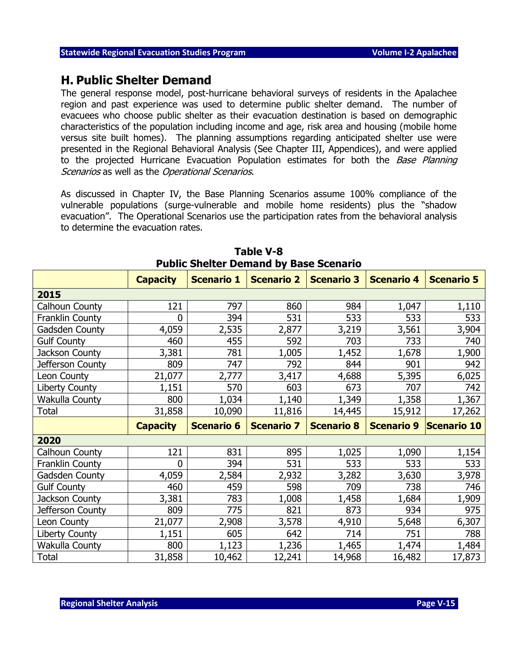#### **H. Public Shelter Demand**

The general response model, post-hurricane behavioral surveys of residents in the Apalachee region and past experience was used to determine public shelter demand. The number of evacuees who choose public shelter as their evacuation destination is based on demographic characteristics of the population including income and age, risk area and housing (mobile home versus site built homes). The planning assumptions regarding anticipated shelter use were presented in the Regional Behavioral Analysis (See Chapter III, Appendices), and were applied to the projected Hurricane Evacuation Population estimates for both the Base Planning Scenarios as well as the Operational Scenarios.

As discussed in Chapter IV, the Base Planning Scenarios assume 100% compliance of the vulnerable populations (surge-vulnerable and mobile home residents) plus the "shadow evacuation". The Operational Scenarios use the participation rates from the behavioral analysis to determine the evacuation rates.

|                        | <b>Capacity</b> | <b>Scenario 1</b> | <b>Scenario 2</b> | <b>Scenario 3</b> | <b>Scenario 4</b> | <b>Scenario 5</b> |
|------------------------|-----------------|-------------------|-------------------|-------------------|-------------------|-------------------|
| 2015                   |                 |                   |                   |                   |                   |                   |
| Calhoun County         | 121             | 797               | 860               | 984               | 1,047             | 1,110             |
| Franklin County        | 0               | 394               | 531               | 533               | 533               | 533               |
| Gadsden County         | 4,059           | 2,535             | 2,877             | 3,219             | 3,561             | 3,904             |
| <b>Gulf County</b>     | 460             | 455               | 592               | 703               | 733               | 740               |
| Jackson County         | 3,381           | 781               | 1,005             | 1,452             | 1,678             | 1,900             |
| Jefferson County       | 809             | 747               | 792               | 844               | 901               | 942               |
| Leon County            | 21,077          | 2,777             | 3,417             | 4,688             | 5,395             | 6,025             |
| <b>Liberty County</b>  | 1,151           | 570               | 603               | 673               | 707               | 742               |
| Wakulla County         | 800             | 1,034             | 1,140             | 1,349             | 1,358             | 1,367             |
| Total                  | 31,858          | 10,090            | 11,816            | 14,445            | 15,912            | 17,262            |
|                        |                 |                   |                   |                   |                   |                   |
|                        | <b>Capacity</b> | <b>Scenario 6</b> | <b>Scenario 7</b> | <b>Scenario 8</b> | <b>Scenario 9</b> | Scenario 10       |
| 2020                   |                 |                   |                   |                   |                   |                   |
| Calhoun County         | 121             | 831               | 895               | 1,025             | 1,090             | 1,154             |
| <b>Franklin County</b> | $\mathbf{0}$    | 394               | 531               | 533               | 533               | 533               |
| <b>Gadsden County</b>  | 4,059           | 2,584             | 2,932             | 3,282             | 3,630             | 3,978             |
| <b>Gulf County</b>     | 460             | 459               | 598               | 709               | 738               | 746               |
| Jackson County         | 3,381           | 783               | 1,008             | 1,458             | 1,684             | 1,909             |
| Jefferson County       | 809             | 775               | 821               | 873               | 934               | 975               |
| Leon County            | 21,077          | 2,908             | 3,578             | 4,910             | 5,648             | 6,307             |
| Liberty County         | 1,151           | 605               | 642               | 714               | 751               | 788               |
| Wakulla County         | 800             | 1,123             | 1,236             | 1,465             | 1,474             | 1,484             |

**Table V-8 Public Shelter Demand by Base Scenario**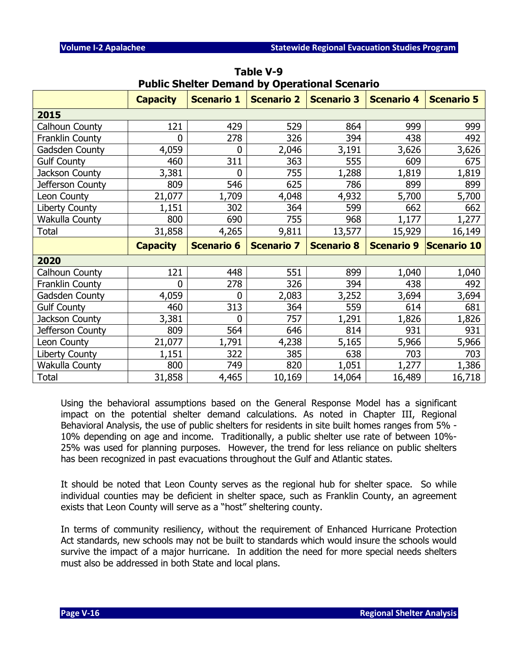|                       | Public Stielter Demand by Operational Scenario |                   |                   |                   |                   |                   |
|-----------------------|------------------------------------------------|-------------------|-------------------|-------------------|-------------------|-------------------|
|                       | <b>Capacity</b>                                | <b>Scenario 1</b> | <b>Scenario 2</b> | <b>Scenario 3</b> | <b>Scenario 4</b> | <b>Scenario 5</b> |
| 2015                  |                                                |                   |                   |                   |                   |                   |
| Calhoun County        | 121                                            | 429               | 529               | 864               | 999               | 999               |
| Franklin County       | 0                                              | 278               | 326               | 394               | 438               | 492               |
| Gadsden County        | 4,059                                          | 0                 | 2,046             | 3,191             | 3,626             | 3,626             |
| <b>Gulf County</b>    | 460                                            | 311               | 363               | 555               | 609               | 675               |
| Jackson County        | 3,381                                          | 0                 | 755               | 1,288             | 1,819             | 1,819             |
| Jefferson County      | 809                                            | 546               | 625               | 786               | 899               | 899               |
| Leon County           | 21,077                                         | 1,709             | 4,048             | 4,932             | 5,700             | 5,700             |
| Liberty County        | 1,151                                          | 302               | 364               | 599               | 662               | 662               |
| Wakulla County        | 800                                            | 690               | 755               | 968               | 1,177             | 1,277             |
| Total                 | 31,858                                         | 4,265             | 9,811             | 13,577            | 15,929            | 16,149            |
|                       |                                                |                   |                   |                   |                   |                   |
|                       | <b>Capacity</b>                                | <b>Scenario 6</b> | <b>Scenario 7</b> | <b>Scenario 8</b> | <b>Scenario 9</b> | Scenario 10       |
| 2020                  |                                                |                   |                   |                   |                   |                   |
| Calhoun County        | 121                                            | 448               | 551               | 899               | 1,040             | 1,040             |
| Franklin County       | 0                                              | 278               | 326               | 394               | 438               | 492               |
| Gadsden County        | 4,059                                          | 0                 | 2,083             | 3,252             | 3,694             | 3,694             |
| <b>Gulf County</b>    | 460                                            | 313               | 364               | 559               | 614               | 681               |
| Jackson County        | 3,381                                          | $\overline{0}$    | 757               | 1,291             | 1,826             | 1,826             |
| Jefferson County      | 809                                            | 564               | 646               | 814               | 931               | 931               |
| Leon County           | 21,077                                         | 1,791             | 4,238             | 5,165             | 5,966             | 5,966             |
| Liberty County        | 1,151                                          | 322               | 385               | 638               | 703               | 703               |
| <b>Wakulla County</b> | 800                                            | 749               | 820               | 1,051             | 1,277             | 1,386             |

**Table V-9 Public Shelter Demand by Operational Scenario**

Using the behavioral assumptions based on the General Response Model has a significant impact on the potential shelter demand calculations. As noted in Chapter III, Regional Behavioral Analysis, the use of public shelters for residents in site built homes ranges from 5% - 10% depending on age and income. Traditionally, a public shelter use rate of between 10%- 25% was used for planning purposes. However, the trend for less reliance on public shelters has been recognized in past evacuations throughout the Gulf and Atlantic states.

It should be noted that Leon County serves as the regional hub for shelter space. So while individual counties may be deficient in shelter space, such as Franklin County, an agreement exists that Leon County will serve as a "host" sheltering county.

In terms of community resiliency, without the requirement of Enhanced Hurricane Protection Act standards, new schools may not be built to standards which would insure the schools would survive the impact of a major hurricane. In addition the need for more special needs shelters must also be addressed in both State and local plans.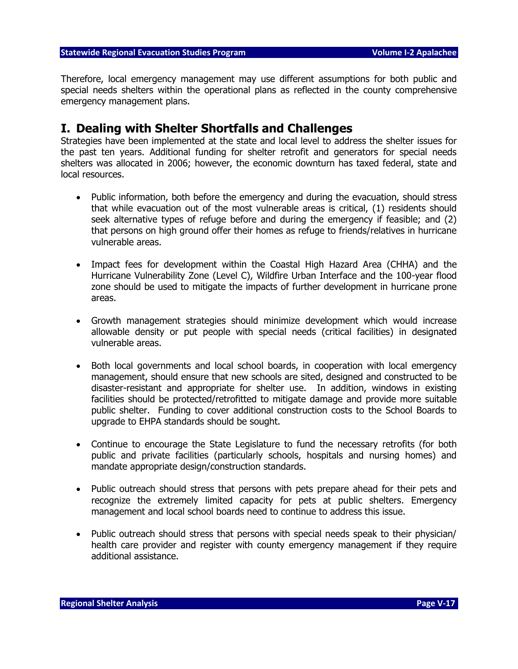Therefore, local emergency management may use different assumptions for both public and special needs shelters within the operational plans as reflected in the county comprehensive emergency management plans.

#### **I. Dealing with Shelter Shortfalls and Challenges**

Strategies have been implemented at the state and local level to address the shelter issues for the past ten years. Additional funding for shelter retrofit and generators for special needs shelters was allocated in 2006; however, the economic downturn has taxed federal, state and local resources.

- Public information, both before the emergency and during the evacuation, should stress that while evacuation out of the most vulnerable areas is critical, (1) residents should seek alternative types of refuge before and during the emergency if feasible; and (2) that persons on high ground offer their homes as refuge to friends/relatives in hurricane vulnerable areas.
- Impact fees for development within the Coastal High Hazard Area (CHHA) and the Hurricane Vulnerability Zone (Level C), Wildfire Urban Interface and the 100-year flood zone should be used to mitigate the impacts of further development in hurricane prone areas.
- Growth management strategies should minimize development which would increase allowable density or put people with special needs (critical facilities) in designated vulnerable areas.
- Both local governments and local school boards, in cooperation with local emergency management, should ensure that new schools are sited, designed and constructed to be disaster-resistant and appropriate for shelter use. In addition, windows in existing facilities should be protected/retrofitted to mitigate damage and provide more suitable public shelter. Funding to cover additional construction costs to the School Boards to upgrade to EHPA standards should be sought.
- Continue to encourage the State Legislature to fund the necessary retrofits (for both public and private facilities (particularly schools, hospitals and nursing homes) and mandate appropriate design/construction standards.
- Public outreach should stress that persons with pets prepare ahead for their pets and recognize the extremely limited capacity for pets at public shelters. Emergency management and local school boards need to continue to address this issue.
- Public outreach should stress that persons with special needs speak to their physician/ health care provider and register with county emergency management if they require additional assistance.